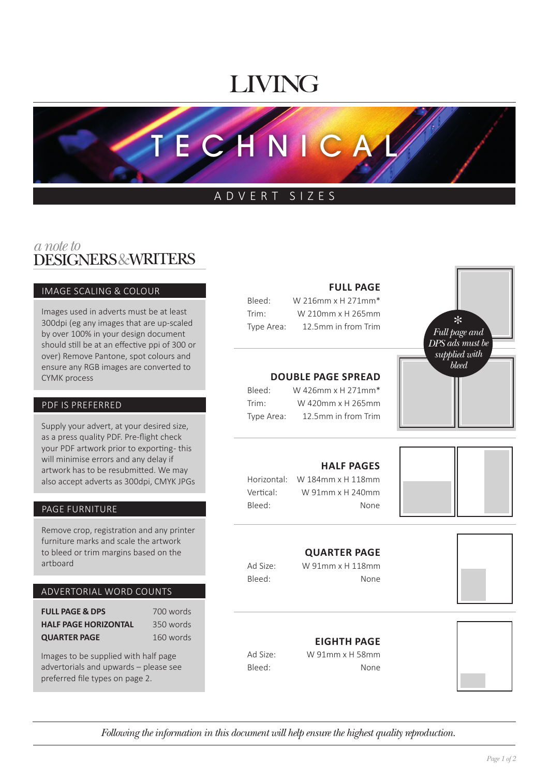# LIVING

TECHNICA

## ADVERT SIZES

## DESIGNERS&WRITERS *a note to*

#### IMAGE SCALING & COLOUR

Images used in adverts must be at least 300dpi (eg any images that are up-scaled by over 100% in your design document should still be at an effective ppi of 300 or over) Remove Pantone, spot colours and ensure any RGB images are converted to CYMK process

#### PDF IS PREFERRED

Supply your advert, at your desired size, as a press quality PDF. Pre-flight check your PDF artwork prior to exporting- this will minimise errors and any delay if artwork has to be resubmitted. We may also accept adverts as 300dpi, CMYK JPGs

#### PAGE FURNITURE

Remove crop, registration and any printer furniture marks and scale the artwork to bleed or trim margins based on the artboard

#### ADVERTORIAL WORD COUNTS

**FULL PAGE & DPS** 700 words **HALF PAGE HORIZONTAL** 350 words **QUARTER PAGE** 160 words

Images to be supplied with half page advertorials and upwards – please see preferred file types on page 2.

## **FULL PAGE**

| Bleed:     | W 216mm x H 271mm*  |
|------------|---------------------|
| Trim:      | W 210mm x H 265mm   |
| Type Area: | 12.5mm in from Trim |

## **DOUBLE PAGE SPREAD**

| Bleed:     | W 426mm x H 271mm*  |
|------------|---------------------|
| Trim:      | W 420mm x H 265mm   |
| Type Area: | 12.5mm in from Trim |



## **HALF PAGES**

Horizontal: W 184mm x H 118mm Vertical: W 91mm x H 240mm Bleed: None

## **QUARTER PAGE**

Ad Size: W 91mm x H 118mm Bleed: None



## **EIGHTH PAGE**

Ad Size: W 91mm x H 58mm Bleed: None



*Following the information in this document will help ensure the highest quality reproduction.*